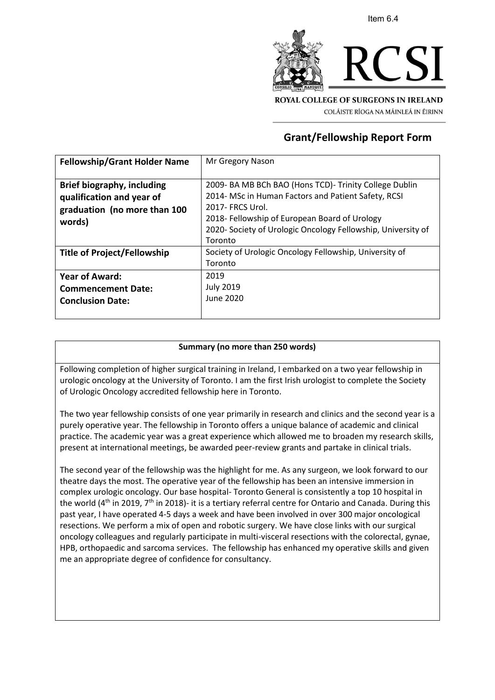

COLÁISTE RÍOGA NA MÁINLEÁ IN ÉIRINN

## **Grant/Fellowship Report Form**

| Mr Gregory Nason                                             |
|--------------------------------------------------------------|
|                                                              |
| 2009- BA MB BCh BAO (Hons TCD)- Trinity College Dublin       |
| 2014- MSc in Human Factors and Patient Safety, RCSI          |
| 2017- FRCS Urol.                                             |
| 2018- Fellowship of European Board of Urology                |
| 2020- Society of Urologic Oncology Fellowship, University of |
| Toronto                                                      |
| Society of Urologic Oncology Fellowship, University of       |
| Toronto                                                      |
| 2019                                                         |
| <b>July 2019</b>                                             |
| June 2020                                                    |
|                                                              |
|                                                              |

## **Summary (no more than 250 words)**

Following completion of higher surgical training in Ireland, I embarked on a two year fellowship in urologic oncology at the University of Toronto. I am the first Irish urologist to complete the Society of Urologic Oncology accredited fellowship here in Toronto.

The two year fellowship consists of one year primarily in research and clinics and the second year is a purely operative year. The fellowship in Toronto offers a unique balance of academic and clinical practice. The academic year was a great experience which allowed me to broaden my research skills, present at international meetings, be awarded peer-review grants and partake in clinical trials.

The second year of the fellowship was the highlight for me. As any surgeon, we look forward to our theatre days the most. The operative year of the fellowship has been an intensive immersion in complex urologic oncology. Our base hospital- Toronto General is consistently a top 10 hospital in the world ( $4<sup>th</sup>$  in 2019,  $7<sup>th</sup>$  in 2018)- it is a tertiary referral centre for Ontario and Canada. During this past year, I have operated 4-5 days a week and have been involved in over 300 major oncological resections. We perform a mix of open and robotic surgery. We have close links with our surgical oncology colleagues and regularly participate in multi-visceral resections with the colorectal, gynae, HPB, orthopaedic and sarcoma services. The fellowship has enhanced my operative skills and given me an appropriate degree of confidence for consultancy.